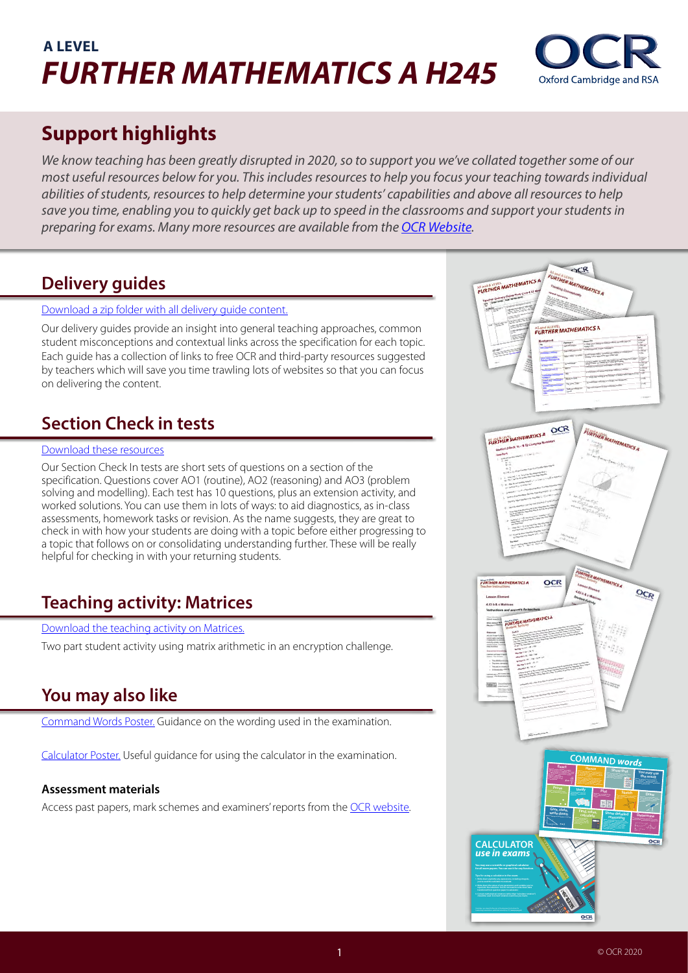# **A LEVEL**  *FURTHER MATHEMATICS A H245*



# **Support highlights**

*We know teaching has been greatly disrupted in 2020, so to support you we've collated together some of our most useful resources below for you. This includes resources to help you focus your teaching towards individual abilities of students, resources to help determine your students' capabilities and above all resources to help save you time, enabling you to quickly get back up to speed in the classrooms and support your students in preparing for exams. Many more resources are available from the [OCR Website](https://www.ocr.org.uk/qualifications/as-and-a-level/further-mathematics-a-h235-h245-from-2017/).*

## **Delivery guides**

#### [Download a zip folder with all delivery guide content](https://www.ocr.org.uk/Images/578451-complete-pack-of-h235-h245-delivery-guides.zip).

Our delivery guides provide an insight into general teaching approaches, common student misconceptions and contextual links across the specification for each topic. Each guide has a collection of links to free OCR and third-party resources suggested by teachers which will save you time trawling lots of websites so that you can focus on delivering the content.

## **Section Check in tests**

#### [Download these resources](https://www.ocr.org.uk/Images/578449-complete-pack-of-h245-section-check-ins.zip)

Our Section Check In tests are short sets of questions on a section of the specification. Questions cover AO1 (routine), AO2 (reasoning) and AO3 (problem solving and modelling). Each test has 10 questions, plus an extension activity, and worked solutions. You can use them in lots of ways: to aid diagnostics, as in-class assessments, homework tasks or revision. As the name suggests, they are great to check in with how your students are doing with a topic before either progressing to a topic that follows on or consolidating understanding further. These will be really helpful for checking in with your returning students.

## **Teaching activity: Matrices**

#### [Download the teaching activity on Matrices.](https://www.ocr.org.uk/Images/308611-4.03-b-and-c-matrices.doc)

Two part student activity using matrix arithmetic in an encryption challenge.

## **You may also like**

[Command Words Poster](https://www.ocr.org.uk/Images/533967-a-level-maths-command-words-poster-a4-size.pdf). Guidance on the wording used in the examination.

[Calculator Poster](https://www.ocr.org.uk/Images/533969-maths-calculator-use-poster-a4-size.pdf). Useful guidance for using the calculator in the examination.

## **Assessment materials**

Access past papers, mark schemes and examiners' reports from the [OCR website](https://www.ocr.org.uk/qualifications/as-and-a-level/further-mathematics-a-h235-h245-from-2017/assessment/).

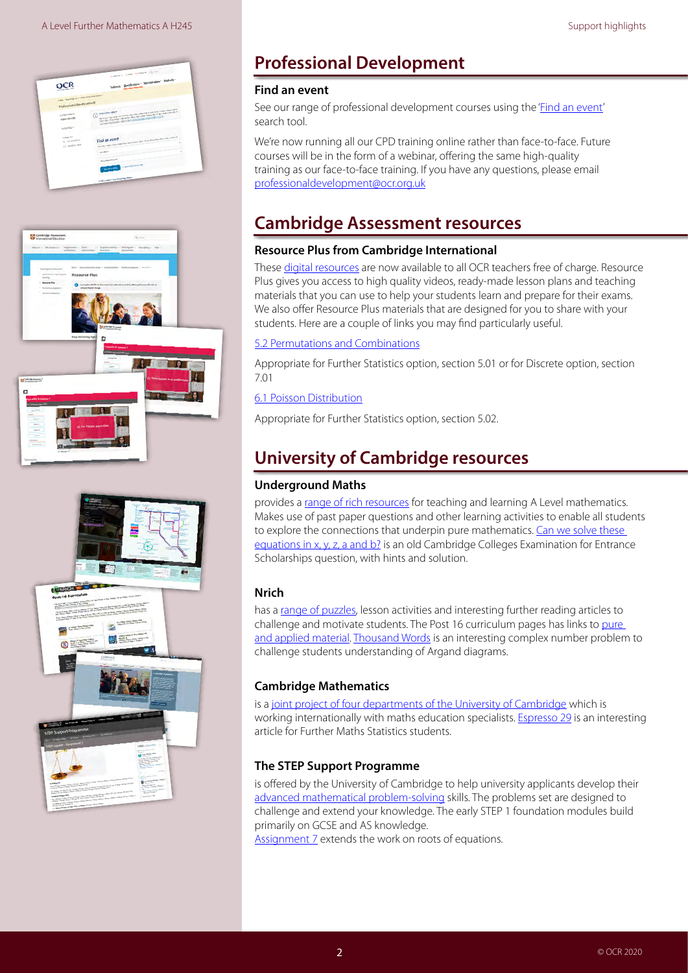





# **Professional Development**

#### **Find an event**

See our range of professional development courses using the '*[Find an event'](https://www.ocr.org.uk/qualifications/professional-development/)* search tool.

We're now running all our CPD training online rather than face-to-face. Future courses will be in the form of a webinar, offering the same high-quality training as our face-to-face training. If you have any questions, please email [professionaldevelopment@ocr.org.uk](mailto:professionaldevelopment%40ocr.org.uk?subject=CPD%20training%20online%20)

## **Cambridge Assessment resources**

## **Resource Plus from Cambridge International**

These [digital resources](https://www.cambridgeinternational.org/support-and-training-for-schools/support-for-teachers/teaching-and-assessment/resource-plus/) are now available to all OCR teachers free of charge. Resource Plus gives you access to high quality videos, ready-made lesson plans and teaching materials that you can use to help your students learn and prepare for their exams. We also offer Resource Plus materials that are designed for you to share with your students. Here are a couple of links you may find particularly useful.

#### [5.2 Permutations and Combinations](https://learning.cambridgeinternational.org/classroom/course/view.php?id=3505)

Appropriate for Further Statistics option, section 5.01 or for Discrete option, section 7.01

#### [6.1 Poisson Distribution](https://learning.cambridgeinternational.org/classroom/course/view.php?id=3506)

Appropriate for Further Statistics option, section 5.02.

## **University of Cambridge resources**

## **[Underground Maths](https://undergroundmathematics.org/)**

provides a [range of rich resources](https://undergroundmathematics.org/) for teaching and learning A Level mathematics. Makes use of past paper questions and other learning activities to enable all students to explore the connections that underpin pure mathematics. Can we solve these [equations in x, y, z, a and b?](https://undergroundmathematics.org/thinking-about-algebra/r6155) is an old Cambridge Colleges Examination for Entrance Scholarships question, with hints and solution.

## **[Nrich](https://nrich.maths.org/)**

has a [range of puzzles,](https://nrich.maths.org/) lesson activities and interesting further reading articles to challenge and motivate students. The Post 16 curriculum pages has links to pure [and applied material](https://nrich.maths.org/9088). [Thousand Words](https://nrich.maths.org/2374) is an interesting complex number problem to challenge students understanding of Argand diagrams.

## **[Cambridge Mathematics](https://www.cambridgemaths.org/)**

is a [joint project of four departments of the University of Cambridge](https://www.cambridgemaths.org/) which is working internationally with maths education specialists. **Espresso 29** is an interesting article for Further Maths Statistics students.

## **The [STEP Support Programme](https://maths.org/step/)**

is offered by the University of Cambridge to help university applicants develop their [advanced mathematical problem-solving](https://maths.org/step/) skills. The problems set are designed to challenge and extend your knowledge. The early STEP 1 foundation modules build primarily on GCSE and AS knowledge.

[Assignment 7](https://maths.org/step/assignments/assignment-7) extends the work on roots of equations.